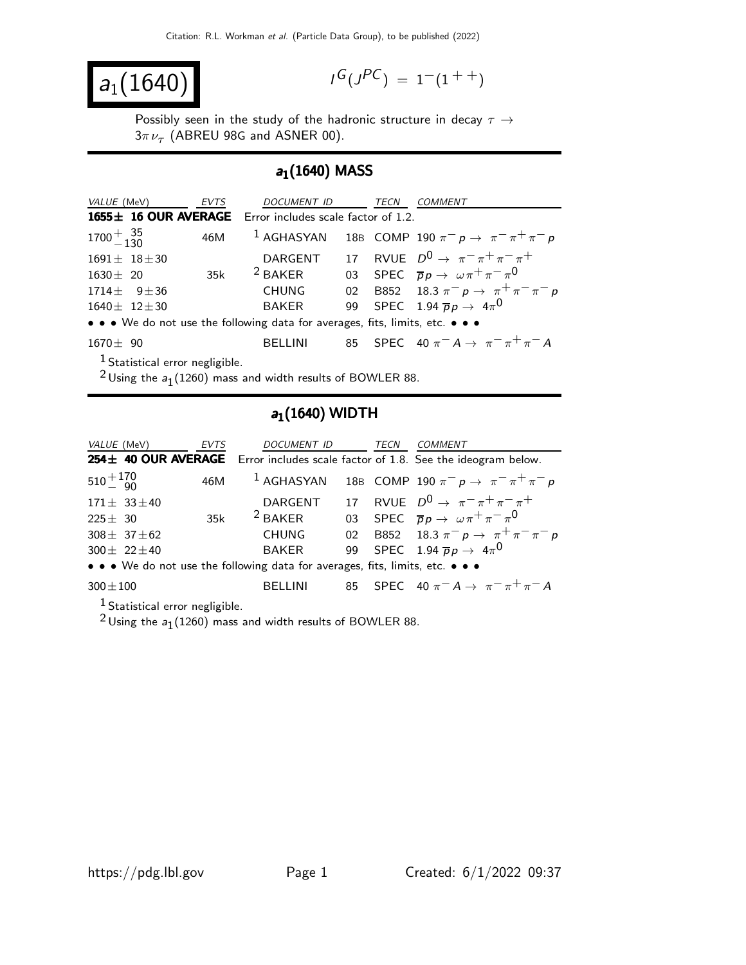$$
a_1(1640) \qquad \qquad \blacksquare
$$

$$
I^G(J^{PC}) = 1^-(1^{++})
$$

Possibly seen in the study of the hadronic structure in decay  $\tau \rightarrow$  $3\pi\nu_{\tau}$  (ABREU 98G and ASNER 00).

#### $a_1(1640)$  MASS

| VALUE (MeV)             | <b>EVTS</b> | <b>DOCUMENT ID</b>                                                            | TECN | COMMENT                                                                      |
|-------------------------|-------------|-------------------------------------------------------------------------------|------|------------------------------------------------------------------------------|
|                         |             | 1655± 16 OUR AVERAGE Error includes scale factor of 1.2.                      |      |                                                                              |
| $1700 + \frac{35}{130}$ | 46M         |                                                                               |      | <sup>1</sup> AGHASYAN 18B COMP 190 $\pi^- p \rightarrow \pi^- \pi^+ \pi^- p$ |
| $1691 \pm 18 \pm 30$    |             | DARGENT                                                                       |      | 17 RVUE $D^0 \rightarrow \pi^- \pi^+ \pi^- \pi^+$                            |
| $1630 \pm 20$           | 35k         |                                                                               |      | <sup>2</sup> BAKER 03 SPEC $\overline{p}p \to \omega \pi^+ \pi^- \pi^0$      |
| $1714 \pm 9 \pm 36$     |             | CHUNG                                                                         |      | 02 B852 18.3 $\pi^- p \to \pi^+ \pi^- \pi^- p$                               |
| $1640 \pm 12 \pm 30$    |             | BAKER                                                                         |      | 99 SPEC 1.94 $\overline{p}p \rightarrow 4\pi^0$                              |
|                         |             | • • • We do not use the following data for averages, fits, limits, etc. • • • |      |                                                                              |
| $1670 \pm 90$           |             | <b>BELLINE</b>                                                                |      | 85 SPEC 40 $\pi^- A \to \pi^- \pi^+ \pi^- A$                                 |

 $\frac{1}{2}$  Statistical error negligible.

 $2$  Using the  $a_1(1260)$  mass and width results of BOWLER 88.

## $a_1(1640)$  WIDTH

| VALUE (MeV)            |                     | EVTS | DOCUMENT ID                                                                   | TECN | <i>COMMENT</i>                                                                  |
|------------------------|---------------------|------|-------------------------------------------------------------------------------|------|---------------------------------------------------------------------------------|
|                        |                     |      |                                                                               |      | 254± 40 OUR AVERAGE Error includes scale factor of 1.8. See the ideogram below. |
| $510 + {170 \over 90}$ |                     | 46M  |                                                                               |      | <sup>1</sup> AGHASYAN 18B COMP 190 $\pi^- p \rightarrow \pi^- \pi^+ \pi^- p$    |
|                        | $171 \pm 33 \pm 40$ |      | DARGENT                                                                       |      | 17 RVUE $D^0 \rightarrow \pi^- \pi^+ \pi^- \pi^+$                               |
| $225 + 30$             |                     | 35k  | $2$ BAKER                                                                     |      | 03 SPEC $\overline{p}p \rightarrow \omega \pi^+ \pi^- \pi^0$                    |
|                        | $308 \pm 37 \pm 62$ |      | <b>CHUNG</b>                                                                  |      | 02 B852 18.3 $\pi^- p \to \pi^+ \pi^- \pi^- p$                                  |
|                        | $300 \pm 22 \pm 40$ |      | <b>BAKER</b>                                                                  |      | 99 SPEC 1.94 $\overline{p}p \rightarrow 4\pi^0$                                 |
|                        |                     |      | • • • We do not use the following data for averages, fits, limits, etc. • • • |      |                                                                                 |
| $300 \pm 100$          |                     |      | <b>RELLINI</b>                                                                |      | 85 SPEC 40 $\pi^- A \to \pi^- \pi^+ \pi^- A$                                    |

 $^1$  Statistical error negligible.

 $^2$ Using the  $a_1(1260)$  mass and width results of BOWLER 88.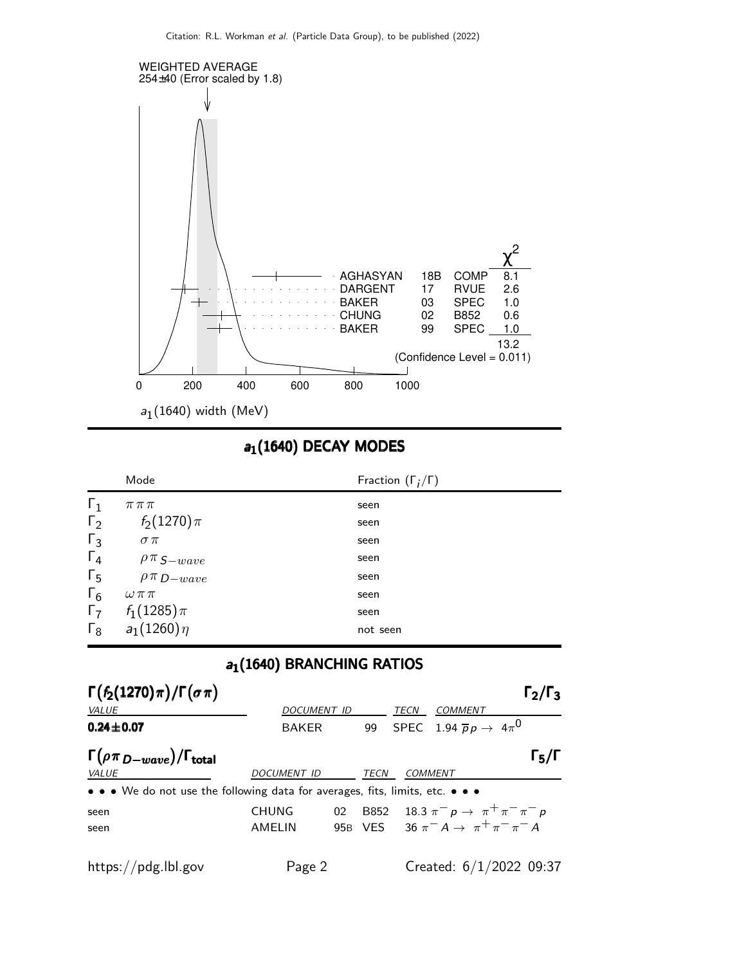

## $a_1(1640)$  DECAY MODES

|            | Mode                | Fraction $(\Gamma_i/\Gamma)$ |
|------------|---------------------|------------------------------|
| $\Gamma_1$ | $\pi\,\pi\,\pi$     | seen                         |
| $\Gamma_2$ | $f_2(1270)\pi$      | seen                         |
| $\Gamma_3$ | $\sigma \pi$        | seen                         |
| $\Gamma_4$ | $\rho \pi$ S-wave   | seen                         |
| $\Gamma_5$ | $\rho \pi_{D-wave}$ | seen                         |
| $\Gamma_6$ | $\omega \pi \pi$    | seen                         |
| $\Gamma_7$ | $f_1(1285)\pi$      | seen                         |
| $\Gamma_8$ | $a_1(1260)\eta$     | not seen                     |

#### $a_1(1640)$  BRANCHING RATIOS

| $\Gamma(f_2(1270)\pi)/\Gamma(\sigma\pi)$                                                                              |                    |    |      |             |                                                | $\Gamma_2/\Gamma_3$ |
|-----------------------------------------------------------------------------------------------------------------------|--------------------|----|------|-------------|------------------------------------------------|---------------------|
| <b>VALUE</b>                                                                                                          | <b>DOCUMENT ID</b> |    |      | <b>TECN</b> | <b>COMMENT</b>                                 |                     |
| $0.24 \pm 0.07$                                                                                                       | <b>BAKER</b>       |    | 99   |             | SPEC 1.94 $\overline{p}p \rightarrow 4\pi^{0}$ |                     |
| $\Gamma(\rho \pi_{D-wave})/\Gamma_{\text{total}}$                                                                     |                    |    |      |             |                                                | $\Gamma_5/\Gamma$   |
| VALUE                                                                                                                 | <b>DOCUMENT ID</b> |    | TECN |             | COMMENT                                        |                     |
| $\bullet \bullet \bullet$ We do not use the following data for averages, fits, limits, etc. $\bullet \bullet \bullet$ |                    |    |      |             |                                                |                     |
| seen                                                                                                                  | <b>CHUNG</b>       | 02 |      |             | B852 18.3 $\pi^- p \to \pi^+ \pi^- \pi^- p$    |                     |
| seen                                                                                                                  | <b>AMELIN</b>      |    |      |             | 95B VES 36 $\pi^- A \to \pi^+ \pi^- \pi^- A$   |                     |
| https://pdg.lbl.gov                                                                                                   | Page 2             |    |      |             | Created: 6/1/2022 09:37                        |                     |